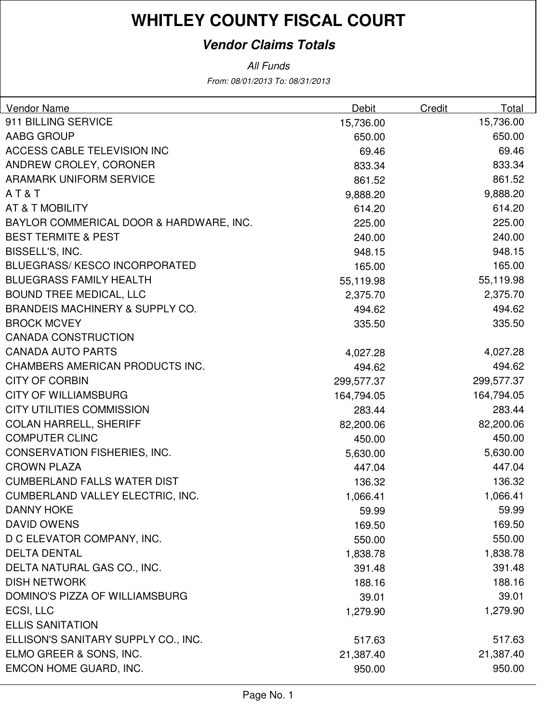### **Vendor Claims Totals**

| <b>Vendor Name</b>                         | Debit      | Credit | Total      |
|--------------------------------------------|------------|--------|------------|
| 911 BILLING SERVICE                        | 15,736.00  |        | 15,736.00  |
| AABG GROUP                                 | 650.00     |        | 650.00     |
| ACCESS CABLE TELEVISION INC                | 69.46      |        | 69.46      |
| ANDREW CROLEY, CORONER                     | 833.34     |        | 833.34     |
| <b>ARAMARK UNIFORM SERVICE</b>             | 861.52     |        | 861.52     |
| AT&T                                       | 9,888.20   |        | 9,888.20   |
| <b>AT &amp; T MOBILITY</b>                 | 614.20     |        | 614.20     |
| BAYLOR COMMERICAL DOOR & HARDWARE, INC.    | 225.00     |        | 225.00     |
| <b>BEST TERMITE &amp; PEST</b>             | 240.00     |        | 240.00     |
| BISSELL'S, INC.                            | 948.15     |        | 948.15     |
| <b>BLUEGRASS/KESCO INCORPORATED</b>        | 165.00     |        | 165.00     |
| <b>BLUEGRASS FAMILY HEALTH</b>             | 55,119.98  |        | 55,119.98  |
| <b>BOUND TREE MEDICAL, LLC</b>             | 2,375.70   |        | 2,375.70   |
| <b>BRANDEIS MACHINERY &amp; SUPPLY CO.</b> | 494.62     |        | 494.62     |
| <b>BROCK MCVEY</b>                         | 335.50     |        | 335.50     |
| <b>CANADA CONSTRUCTION</b>                 |            |        |            |
| <b>CANADA AUTO PARTS</b>                   | 4,027.28   |        | 4,027.28   |
| CHAMBERS AMERICAN PRODUCTS INC.            | 494.62     |        | 494.62     |
| <b>CITY OF CORBIN</b>                      | 299,577.37 |        | 299,577.37 |
| <b>CITY OF WILLIAMSBURG</b>                | 164,794.05 |        | 164,794.05 |
| <b>CITY UTILITIES COMMISSION</b>           | 283.44     |        | 283.44     |
| <b>COLAN HARRELL, SHERIFF</b>              | 82,200.06  |        | 82,200.06  |
| <b>COMPUTER CLINC</b>                      | 450.00     |        | 450.00     |
| <b>CONSERVATION FISHERIES, INC.</b>        | 5,630.00   |        | 5,630.00   |
| <b>CROWN PLAZA</b>                         | 447.04     |        | 447.04     |
| <b>CUMBERLAND FALLS WATER DIST</b>         | 136.32     |        | 136.32     |
| <b>CUMBERLAND VALLEY ELECTRIC, INC.</b>    | 1,066.41   |        | 1,066.41   |
| DANNY HOKE                                 | 59.99      |        | 59.99      |
| <b>DAVID OWENS</b>                         | 169.50     |        | 169.50     |
| D C ELEVATOR COMPANY, INC.                 | 550.00     |        | 550.00     |
| <b>DELTA DENTAL</b>                        | 1,838.78   |        | 1,838.78   |
| DELTA NATURAL GAS CO., INC.                | 391.48     |        | 391.48     |
| <b>DISH NETWORK</b>                        | 188.16     |        | 188.16     |
| DOMINO'S PIZZA OF WILLIAMSBURG             | 39.01      |        | 39.01      |
| ECSI, LLC                                  | 1,279.90   |        | 1,279.90   |
| <b>ELLIS SANITATION</b>                    |            |        |            |
| ELLISON'S SANITARY SUPPLY CO., INC.        | 517.63     |        | 517.63     |
| ELMO GREER & SONS, INC.                    | 21,387.40  |        | 21,387.40  |
| EMCON HOME GUARD, INC.                     | 950.00     |        | 950.00     |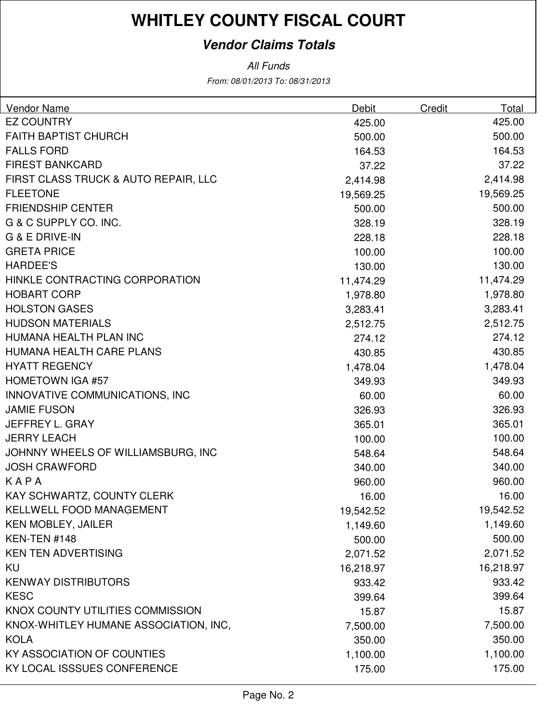### **Vendor Claims Totals**

| Vendor Name                           | Debit     | Credit | Total     |
|---------------------------------------|-----------|--------|-----------|
| <b>EZ COUNTRY</b>                     | 425.00    |        | 425.00    |
| <b>FAITH BAPTIST CHURCH</b>           | 500.00    |        | 500.00    |
| <b>FALLS FORD</b>                     | 164.53    |        | 164.53    |
| <b>FIREST BANKCARD</b>                | 37.22     |        | 37.22     |
| FIRST CLASS TRUCK & AUTO REPAIR, LLC  | 2,414.98  |        | 2,414.98  |
| <b>FLEETONE</b>                       | 19,569.25 |        | 19,569.25 |
| <b>FRIENDSHIP CENTER</b>              | 500.00    |        | 500.00    |
| G & C SUPPLY CO. INC.                 | 328.19    |        | 328.19    |
| <b>G &amp; E DRIVE-IN</b>             | 228.18    |        | 228.18    |
| <b>GRETA PRICE</b>                    | 100.00    |        | 100.00    |
| <b>HARDEE'S</b>                       | 130.00    |        | 130.00    |
| HINKLE CONTRACTING CORPORATION        | 11,474.29 |        | 11,474.29 |
| <b>HOBART CORP</b>                    | 1,978.80  |        | 1,978.80  |
| <b>HOLSTON GASES</b>                  | 3,283.41  |        | 3,283.41  |
| <b>HUDSON MATERIALS</b>               | 2,512.75  |        | 2,512.75  |
| HUMANA HEALTH PLAN INC                | 274.12    |        | 274.12    |
| HUMANA HEALTH CARE PLANS              | 430.85    |        | 430.85    |
| <b>HYATT REGENCY</b>                  | 1,478.04  |        | 1,478.04  |
| <b>HOMETOWN IGA #57</b>               | 349.93    |        | 349.93    |
| INNOVATIVE COMMUNICATIONS, INC        | 60.00     |        | 60.00     |
| <b>JAMIE FUSON</b>                    | 326.93    |        | 326.93    |
| JEFFREY L. GRAY                       | 365.01    |        | 365.01    |
| <b>JERRY LEACH</b>                    | 100.00    |        | 100.00    |
| JOHNNY WHEELS OF WILLIAMSBURG, INC    | 548.64    |        | 548.64    |
| <b>JOSH CRAWFORD</b>                  | 340.00    |        | 340.00    |
| KAPA                                  | 960.00    |        | 960.00    |
| KAY SCHWARTZ, COUNTY CLERK            | 16.00     |        | 16.00     |
| <b>KELLWELL FOOD MANAGEMENT</b>       | 19,542.52 |        | 19,542.52 |
| <b>KEN MOBLEY, JAILER</b>             | 1,149.60  |        | 1,149.60  |
| KEN-TEN #148                          | 500.00    |        | 500.00    |
| <b>KEN TEN ADVERTISING</b>            | 2,071.52  |        | 2,071.52  |
| KU                                    | 16,218.97 |        | 16,218.97 |
| <b>KENWAY DISTRIBUTORS</b>            | 933.42    |        | 933.42    |
| <b>KESC</b>                           | 399.64    |        | 399.64    |
| KNOX COUNTY UTILITIES COMMISSION      | 15.87     |        | 15.87     |
| KNOX-WHITLEY HUMANE ASSOCIATION, INC, | 7,500.00  |        | 7,500.00  |
| <b>KOLA</b>                           | 350.00    |        | 350.00    |
| <b>KY ASSOCIATION OF COUNTIES</b>     | 1,100.00  |        | 1,100.00  |
| KY LOCAL ISSSUES CONFERENCE           | 175.00    |        | 175.00    |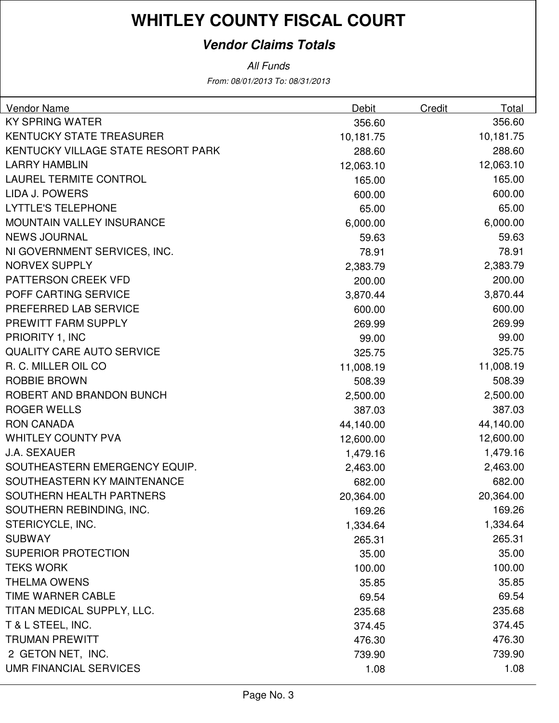### **Vendor Claims Totals**

| <b>Vendor Name</b>                 | Debit     | Credit | Total     |
|------------------------------------|-----------|--------|-----------|
| <b>KY SPRING WATER</b>             | 356.60    |        | 356.60    |
| <b>KENTUCKY STATE TREASURER</b>    | 10,181.75 |        | 10,181.75 |
| KENTUCKY VILLAGE STATE RESORT PARK | 288.60    |        | 288.60    |
| <b>LARRY HAMBLIN</b>               | 12,063.10 |        | 12,063.10 |
| <b>LAUREL TERMITE CONTROL</b>      | 165.00    |        | 165.00    |
| LIDA J. POWERS                     | 600.00    |        | 600.00    |
| <b>LYTTLE'S TELEPHONE</b>          | 65.00     |        | 65.00     |
| <b>MOUNTAIN VALLEY INSURANCE</b>   | 6,000.00  |        | 6,000.00  |
| <b>NEWS JOURNAL</b>                | 59.63     |        | 59.63     |
| NI GOVERNMENT SERVICES, INC.       | 78.91     |        | 78.91     |
| <b>NORVEX SUPPLY</b>               | 2,383.79  |        | 2,383.79  |
| <b>PATTERSON CREEK VFD</b>         | 200.00    |        | 200.00    |
| POFF CARTING SERVICE               | 3,870.44  |        | 3,870.44  |
| PREFERRED LAB SERVICE              | 600.00    |        | 600.00    |
| PREWITT FARM SUPPLY                | 269.99    |        | 269.99    |
| PRIORITY 1, INC                    | 99.00     |        | 99.00     |
| <b>QUALITY CARE AUTO SERVICE</b>   | 325.75    |        | 325.75    |
| R. C. MILLER OIL CO                | 11,008.19 |        | 11,008.19 |
| <b>ROBBIE BROWN</b>                | 508.39    |        | 508.39    |
| ROBERT AND BRANDON BUNCH           | 2,500.00  |        | 2,500.00  |
| <b>ROGER WELLS</b>                 | 387.03    |        | 387.03    |
| <b>RON CANADA</b>                  | 44,140.00 |        | 44,140.00 |
| <b>WHITLEY COUNTY PVA</b>          | 12,600.00 |        | 12,600.00 |
| <b>J.A. SEXAUER</b>                | 1,479.16  |        | 1,479.16  |
| SOUTHEASTERN EMERGENCY EQUIP.      | 2,463.00  |        | 2,463.00  |
| SOUTHEASTERN KY MAINTENANCE        | 682.00    |        | 682.00    |
| SOUTHERN HEALTH PARTNERS           | 20,364.00 |        | 20,364.00 |
| SOUTHERN REBINDING, INC.           | 169.26    |        | 169.26    |
| STERICYCLE, INC.                   | 1,334.64  |        | 1,334.64  |
| <b>SUBWAY</b>                      | 265.31    |        | 265.31    |
| <b>SUPERIOR PROTECTION</b>         | 35.00     |        | 35.00     |
| <b>TEKS WORK</b>                   | 100.00    |        | 100.00    |
| <b>THELMA OWENS</b>                | 35.85     |        | 35.85     |
| TIME WARNER CABLE                  | 69.54     |        | 69.54     |
| TITAN MEDICAL SUPPLY, LLC.         | 235.68    |        | 235.68    |
| T & L STEEL, INC.                  | 374.45    |        | 374.45    |
| <b>TRUMAN PREWITT</b>              | 476.30    |        | 476.30    |
| 2 GETON NET, INC.                  | 739.90    |        | 739.90    |
| <b>UMR FINANCIAL SERVICES</b>      | 1.08      |        | 1.08      |